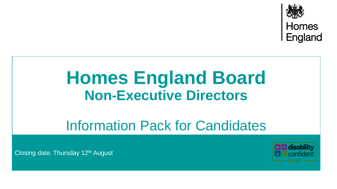

# **Homes England Board Non-Executive Directors**

# Information Pack for Candidates

Closing date: Thursday 12<sup>th</sup> August

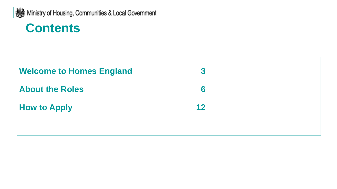

# **Contents**

| <b>Welcome to Homes England</b> | $\boldsymbol{3}$ |  |
|---------------------------------|------------------|--|
| <b>About the Roles</b>          | 6                |  |
| <b>How to Apply</b>             | 12               |  |
|                                 |                  |  |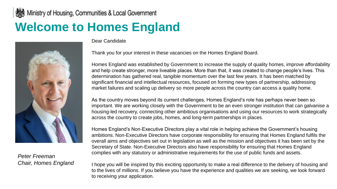### Ministry of Housing, Communities & Local Government **Welcome to Homes England**



*Peter Freeman Chair, Homes England* Dear Candidate

Thank you for your interest in these vacancies on the Homes England Board.

Homes England was established by Government to increase the supply of quality homes, improve affordability and help create stronger, more liveable places. More than that, it was created to change people's lives. This determination has gathered real, tangible momentum over the last few years. It has been matched by significant financial and intellectual resources, focused on forming new types of partnership, addressing market failures and scaling up delivery so more people across the country can access a quality home.

As the country moves beyond its current challenges, Homes England's role has perhaps never been so important. We are working closely with the Government to be an even stronger institution that can galvanise a housing-led recovery, connecting other ambitious organisations and using our resources to work strategically across the country to create jobs, homes, and long-term partnerships in places.

Homes England's Non-Executive Directors play a vital role in helping achieve the Government's housing ambitions. Non-Executive Directors have corporate responsibility for ensuring that Homes England fulfils the overall aims and objectives set out in legislation as well as the mission and objectives it has been set by the Secretary of State. Non-Executive Directors also have responsibility for ensuring that Homes England complies with any statutory or administrative requirements for the use of public funds and assets.

I hope you will be inspired by this exciting opportunity to make a real difference to the delivery of housing and to the lives of millions. If you believe you have the experience and qualities we are seeking, we look forward to receiving your application.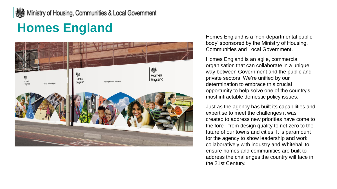### **A** Ministry of Housing, Communities & Local Government

# **Homes England**



Homes England is a 'non -departmental public body' sponsored by the Ministry of Housing, Communities and Local Government.

Homes England is an agile, commercial organisation that can collaborate in a unique way between Government and the public and private sectors. We're unified by our determination to embrace this crucial opportunity to help solve one of the country's most intractable domestic policy issues.

Just as the agency has built its capabilities and expertise to meet the challenges it was created to address new priorities have come to the fore - from design quality to net zero to the future of our towns and cities. It is paramount for the agency to show leadership and work collaboratively with industry and Whitehall to ensure homes and communities are built to address the challenges the country will face in the 21st Century.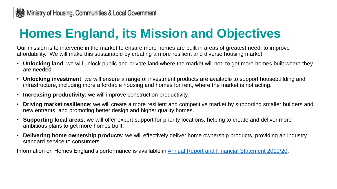# **Homes England, its Mission and Objectives**

Our mission is to intervene in the market to ensure more homes are built in areas of greatest need, to improve affordability. We will make this sustainable by creating a more resilient and diverse housing market.

- **Unlocking land**: we will unlock public and private land where the market will not, to get more homes built where they are needed.
- **Unlocking investment**: we will ensure a range of investment products are available to support housebuilding and infrastructure, including more affordable housing and homes for rent, where the market is not acting.
- **Increasing productivity**: we will improve construction productivity.
- **Driving market resilience**: we will create a more resilient and competitive market by supporting smaller builders and new entrants, and promoting better design and higher quality homes.
- **Supporting local areas**: we will offer expert support for priority locations, helping to create and deliver more ambitious plans to get more homes built.
- **Delivering home ownership products**: we will effectively deliver home ownership products, providing an industry standard service to consumers.

Information on Homes England's performance is available in [Annual Report and Financial Statement 2019/20.](https://assets.publishing.service.gov.uk/government/uploads/system/uploads/attachment_data/file/934957/Homes_England_Annual_Report_2019_20_05_11_20.pdf)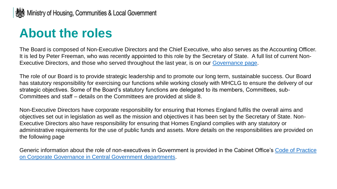### **About the roles**

The Board is composed of Non-Executive Directors and the Chief Executive, who also serves as the Accounting Officer. It is led by Peter Freeman, who was recently appointed to this role by the Secretary of State. A full list of current Non-Executive Directors, and those who served throughout the last year, is on our [Governance page.](https://www.gov.uk/government/organisations/homes-england/about/our-governance)

The role of our Board is to provide strategic leadership and to promote our long term, sustainable success. Our Board has statutory responsibility for exercising our functions while working closely with MHCLG to ensure the delivery of our strategic objectives. Some of the Board's statutory functions are delegated to its members, Committees, sub-Committees and staff – details on the Committees are provided at slide 8.

Non-Executive Directors have corporate responsibility for ensuring that Homes England fulfils the overall aims and objectives set out in legislation as well as the mission and objectives it has been set by the Secretary of State. Non-Executive Directors also have responsibility for ensuring that Homes England complies with any statutory or administrative requirements for the use of public funds and assets. More details on the responsibilities are provided on the following page

[Generic information about the role of non-executives in Government is provided in the Cabinet Office's Code of Practice](https://assets.publishing.service.gov.uk/government/uploads/system/uploads/attachment_data/file/609903/PU2077_code_of_practice_2017.pdf)  on Corporate Governance in Central Government departments.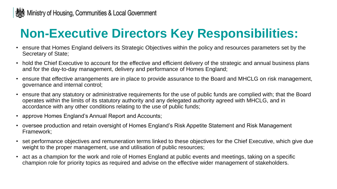

# **Non-Executive Directors Key Responsibilities:**

- ensure that Homes England delivers its Strategic Objectives within the policy and resources parameters set by the Secretary of State;
- hold the Chief Executive to account for the effective and efficient delivery of the strategic and annual business plans and for the day-to-day management, delivery and performance of Homes England;
- ensure that effective arrangements are in place to provide assurance to the Board and MHCLG on risk management, governance and internal control;
- ensure that any statutory or administrative requirements for the use of public funds are complied with; that the Board operates within the limits of its statutory authority and any delegated authority agreed with MHCLG, and in accordance with any other conditions relating to the use of public funds;
- approve Homes England's Annual Report and Accounts;
- oversee production and retain oversight of Homes England's Risk Appetite Statement and Risk Management Framework;
- set performance objectives and remuneration terms linked to these objectives for the Chief Executive, which give due weight to the proper management, use and utilisation of public resources;
- act as a champion for the work and role of Homes England at public events and meetings, taking on a specific champion role for priority topics as required and advise on the effective wider management of stakeholders.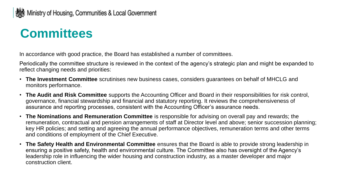### **Committees**

In accordance with good practice, the Board has established a number of committees.

Periodically the committee structure is reviewed in the context of the agency's strategic plan and might be expanded to reflect changing needs and priorities:

- **The Investment Committee** scrutinises new business cases, considers guarantees on behalf of MHCLG and monitors performance.
- **The Audit and Risk Committee** supports the Accounting Officer and Board in their responsibilities for risk control, governance, financial stewardship and financial and statutory reporting. It reviews the comprehensiveness of assurance and reporting processes, consistent with the Accounting Officer's assurance needs.
- **The Nominations and Remuneration Committee** is responsible for advising on overall pay and rewards; the remuneration, contractual and pension arrangements of staff at Director level and above; senior succession planning; key HR policies; and setting and agreeing the annual performance objectives, remuneration terms and other terms and conditions of employment of the Chief Executive.
- **The Safety Health and Environmental Committee** ensures that the Board is able to provide strong leadership in ensuring a positive safety, health and environmental culture. The Committee also has oversight of the Agency's leadership role in influencing the wider housing and construction industry, as a master developer and major construction client.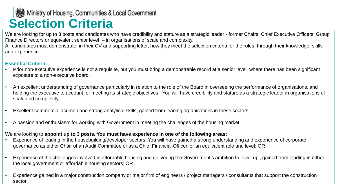# **Selection Criteria Selection Criteria**

We are looking for up to 3 posts and candidates who have credibility and stature as a strategic leader - former Chairs, Chief Executive Officers, Group Finance Directors or equivalent senior level – in organisations of scale and complexity.

All candidates must demonstrate, in their CV and supporting letter, how they meet the selection criteria for the roles, through their knowledge, skills and experience.

#### **Essential Criteria:**

- Prior non-executive experience is not a requisite, but you must bring a demonstrable record at a senior level, where there has been significant exposure to a non-executive board.
- An excellent understanding of governance particularly in relation to the role of the Board in overseeing the performance of organisations, and holding the executive to account for meeting its strategic objectives. You will have credibility and stature as a strategic leader in organisations of scale and complexity.
- Excellent commercial acumen and strong analytical skills, gained from leading organisations in these sectors.
- A passion and enthusiasm for working with Government in meeting the challenges of the housing market.

#### We are looking to **appoint up to 3 posts. You must have experience in one of the following areas:**

- Experience of leading in the housebuilding/developer sectors. You will have gained a strong understanding and experience of corporate governance as either Chair of an Audit Committee or as a Chief Financial Officer, or an equivalent role and level; OR
- Experience of the challenges involved in affordable housing and delivering the Government's ambition to 'level up', gained from leading in either the local government or affordable housing sectors; OR
- Experience gained in a major construction company or major firm of engineers / project managers / consultants that support the construction sector.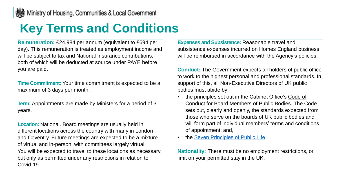# **Key Terms and Conditions**

**Remuneration:** £24,984 per annum (equivalent to £694 per day). This remuneration is treated as employment income and will be subject to tax and National Insurance contributions, both of which will be deducted at source under PAYE before you are paid.

**Time Commitment:** Your time commitment is expected to be a maximum of 3 days per month.

**Term:** Appointments are made by Ministers for a period of 3 vears.

**Location:** National. Board meetings are usually held in different locations across the country with many in London and Coventry. Future meetings are expected to be a mixture of virtual and in-person, with committees largely virtual. You will be expected to travel to these locations as necessary, but only as permitted under any restrictions in relation to Covid-19.

**Expenses and Subsistence:** Reasonable travel and subsistence expenses incurred on Homes England business will be reimbursed in accordance with the Agency's policies.

**Conduct:** The Government expects all holders of public office to work to the highest personal and professional standards. In support of this, all Non-Executive Directors of UK public bodies must abide by:

- [the principles set out in the Cabinet Office's Code of](https://assets.publishing.service.gov.uk/government/uploads/system/uploads/attachment_data/file/409604/code-of-conduct_tcm6-38901.pdf)  Conduct for Board Members of Public Bodies. The Code sets out, clearly and openly, the standards expected from those who serve on the boards of UK public bodies and will form part of individual members' terms and conditions of appointment; and,
- the [Seven Principles of Public Life.](https://www.gov.uk/government/publications/the-7-principles-of-public-life)

**Nationality:** There must be no employment restrictions, or limit on your permitted stay in the UK.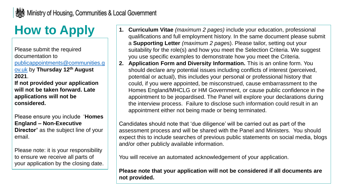# **How to Apply**

Please submit the required documentation to [publicappointments@communities.g](mailto:publicappointments@communities.gov.uk) ov.uk by **Thursday 12th August 2021**.

**If not provided your application will not be taken forward. Late applications will not be considered.** 

Please ensure you include '**Homes England – Non-Executive Director'** as the subject line of your email.

Please note: it is your responsibility to ensure we receive all parts of your application by the closing date.

- **1. Curriculum Vitae** *(maximum 2 pages)* include your education, professional qualifications and full employment history. In the same document please submit a **Supporting Letter** *(maximum 2 page*s). Please tailor, setting out your suitability for the role(s) and how you meet the Selection Criteria. We suggest you use specific examples to demonstrate how you meet the Criteria.
- **2. Application Form and Diversity Information.** This is an online form. You should declare any potential issues including conflicts of interest (perceived, potential or actual), this includes your personal or professional history that could, if you were appointed, be misconstrued, cause embarrassment to the Homes England/MHCLG or HM Government, or cause public confidence in the appointment to be jeopardised. The Panel will explore your declarations during the interview process. Failure to disclose such information could result in an appointment either not being made or being terminated.

Candidates should note that 'due diligence' will be carried out as part of the assessment process and will be shared with the Panel and Ministers. You should expect this to include searches of previous public statements on social media, blogs and/or other publicly available information.

You will receive an automated acknowledgement of your application.

**Please note that your application will not be considered if all documents are not provided.**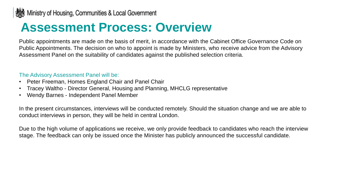### **Assessment Process: Overview**

Public appointments are made on the basis of merit, in accordance with the Cabinet Office Governance Code on Public Appointments. The decision on who to appoint is made by Ministers, who receive advice from the Advisory Assessment Panel on the suitability of candidates against the published selection criteria.

#### The Advisory Assessment Panel will be:

- Peter Freeman, Homes England Chair and Panel Chair
- Tracey Waltho Director General, Housing and Planning, MHCLG representative
- Wendy Barnes Independent Panel Member

In the present circumstances, interviews will be conducted remotely. Should the situation change and we are able to conduct interviews in person, they will be held in central London.

Due to the high volume of applications we receive, we only provide feedback to candidates who reach the interview stage. The feedback can only be issued once the Minister has publicly announced the successful candidate.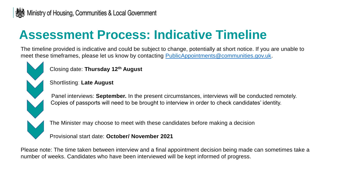### **Assessment Process: Indicative Timeline**

The timeline provided is indicative and could be subject to change, potentially at short notice. If you are unable to meet these timeframes, please let us know by contacting [PublicAppointments@communities.gov.uk](mailto:PublicAppointments@communities.gov.uk).

Closing date: **Thursday 12th August**

Shortlisting: **Late August**

Panel interviews: **September.** In the present circumstances, interviews will be conducted remotely. Copies of passports will need to be brought to interview in order to check candidates' identity.

The Minister may choose to meet with these candidates before making a decision

Provisional start date: **October/ November 2021**

Please note: The time taken between interview and a final appointment decision being made can sometimes take a number of weeks. Candidates who have been interviewed will be kept informed of progress.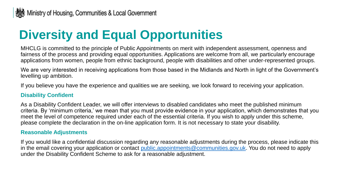### **Diversity and Equal Opportunities**

MHCLG is committed to the principle of Public Appointments on merit with independent assessment, openness and fairness of the process and providing equal opportunities. Applications are welcome from all, we particularly encourage applications from women, people from ethnic background, people with disabilities and other under-represented groups.

We are very interested in receiving applications from those based in the Midlands and North in light of the Government's levelling up ambition.

If you believe you have the experience and qualities we are seeking, we look forward to receiving your application.

#### **Disability Confident**

As a Disability Confident Leader, we will offer interviews to disabled candidates who meet the published minimum criteria. By 'minimum criteria,' we mean that you must provide evidence in your application, which demonstrates that you meet the level of competence required under each of the essential criteria. If you wish to apply under this scheme, please complete the declaration in the on-line application form. It is not necessary to state your disability.

#### **Reasonable Adjustments**

If you would like a confidential discussion regarding any reasonable adjustments during the process, please indicate this in the email covering your application or contact [public.appointments@communities.gov.uk](mailto:public.appointments@communities.gov.uk). You do not need to apply under the Disability Confident Scheme to ask for a reasonable adjustment.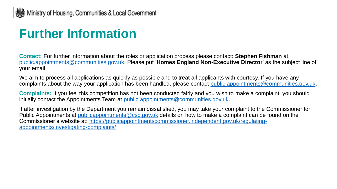# **Further Information**

**Contact:** For further information about the roles or application process please contact: **Stephen Fishman** at, [public.appointments@communities.gov.uk.](mailto:public.appointments@communities.gov.uk) Please put '**Homes England Non-Executive Director**' as the subject line of your email.

We aim to process all applications as quickly as possible and to treat all applicants with courtesy. If you have any complaints about the way your application has been handled, please contact [public.appointments@communities.gov.uk.](mailto:public.appointments@communities.gov.uk)

**Complaints:** If you feel this competition has not been conducted fairly and you wish to make a complaint, you should initially contact the Appointments Team at [public.appointments@communities.gov.uk](mailto:public.appointments@communities.gov.uk).

If after investigation by the Department you remain dissatisfied, you may take your complaint to the Commissioner for Public Appointments at publicappointments @csc.gov.uk details on how to make a complaint can be found on the [Commissioner's website at: https://publicappointmentscommissioner.independent.gov.uk/regulating](https://publicappointmentscommissioner.independent.gov.uk/regulating-appointments/investigating-complaints/)appointments/investigating-complaints/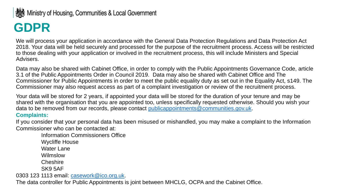#### Ministry of Housing, Communities & Local Government

# **GDPR**

We will process your application in accordance with the General Data Protection Regulations and Data Protection Act 2018. Your data will be held securely and processed for the purpose of the recruitment process. Access will be restricted to those dealing with your application or involved in the recruitment process, this will include Ministers and Special Advisers.

Data may also be shared with Cabinet Office, in order to comply with the Public Appointments Governance Code, article 3.1 of the Public Appointments Order in Council 2019. Data may also be shared with Cabinet Office and The Commissioner for Public Appointments in order to meet the public equality duty as set out in the Equality Act, s149. The Commissioner may also request access as part of a complaint investigation or review of the recruitment process.

Your data will be stored for 2 years, if appointed your data will be stored for the duration of your tenure and may be shared with the organisation that you are appointed too, unless specifically requested otherwise. Should you wish your data to be removed from our records, please contact [publicappointments@communities.gov.uk.](mailto:publicappointments@communities.gov.uk)

#### **Complaints:**

If you consider that your personal data has been misused or mishandled, you may make a complaint to the Information Commissioner who can be contacted at:

Information Commissioners Office Wycliffe House Water Lane Wilmslow **Cheshire** SK9 5AF 0303 123 1113 email: [casework@ico.org.uk.](mailto:casework@ico.org.uk)

The data controller for Public Appointments is joint between MHCLG, OCPA and the Cabinet Office.